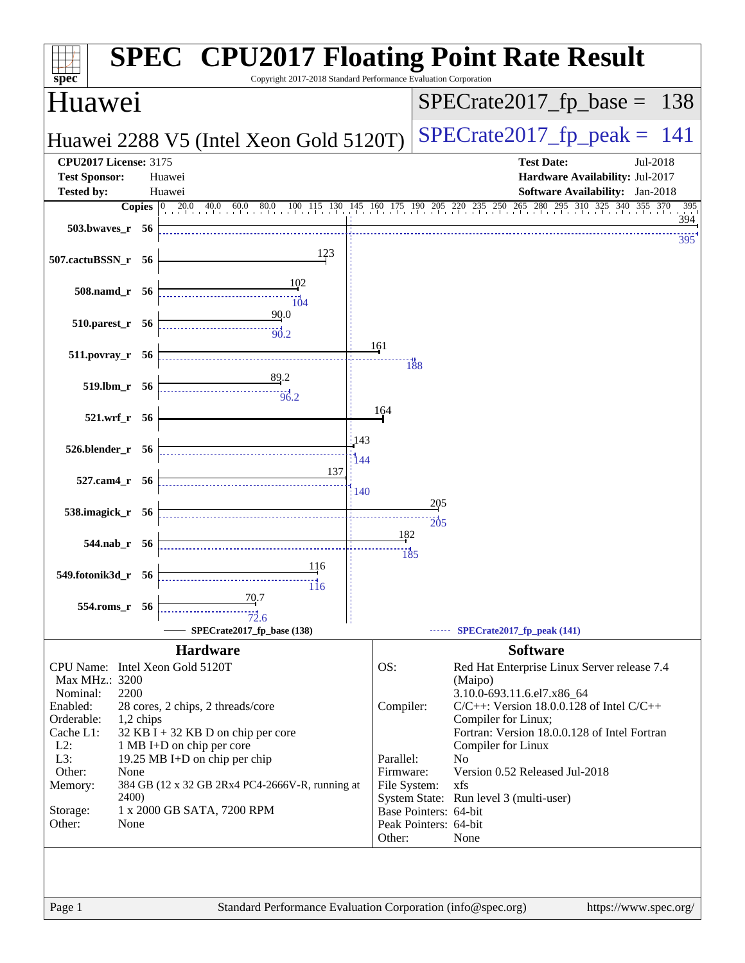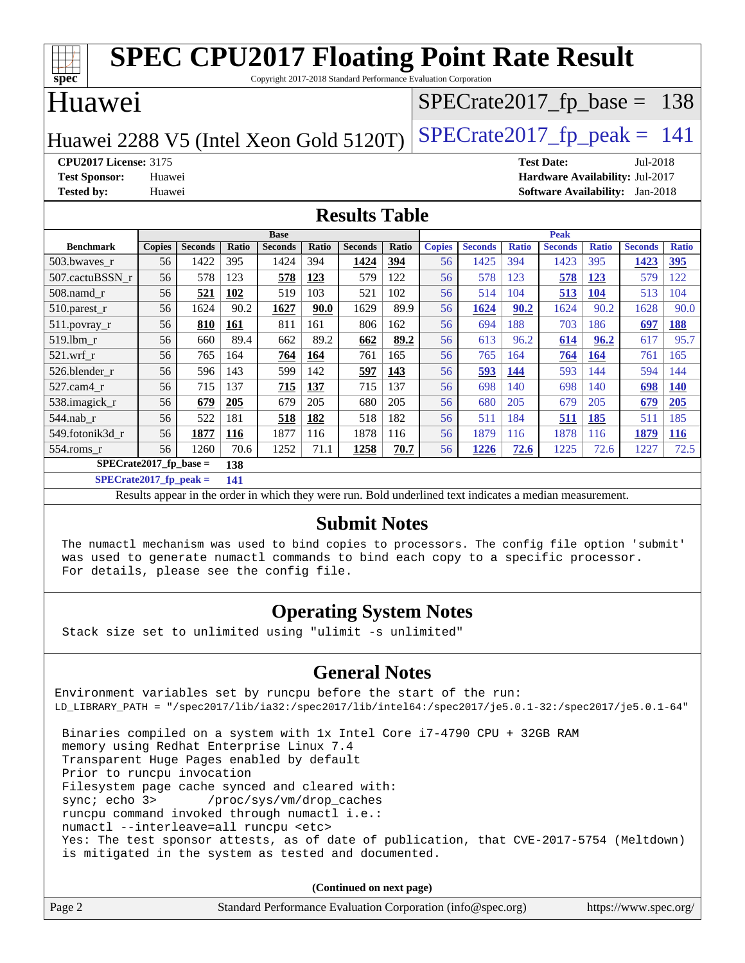| <b>SPEC CPU2017 Floating Point Rate Result</b>                                       |                                                  |                |       |                |       |                |              |               |                |                               |                                 |              |                |              |
|--------------------------------------------------------------------------------------|--------------------------------------------------|----------------|-------|----------------|-------|----------------|--------------|---------------|----------------|-------------------------------|---------------------------------|--------------|----------------|--------------|
| Copyright 2017-2018 Standard Performance Evaluation Corporation<br>spec <sup>®</sup> |                                                  |                |       |                |       |                |              |               |                |                               |                                 |              |                |              |
| Huawei                                                                               |                                                  |                |       |                |       |                |              |               |                | $SPECrate2017_fp\_base = 138$ |                                 |              |                |              |
| $SPECTate2017$ _fp_peak = 141<br>Huawei 2288 V5 (Intel Xeon Gold 5120T)              |                                                  |                |       |                |       |                |              |               |                |                               |                                 |              |                |              |
| <b>CPU2017 License: 3175</b>                                                         |                                                  |                |       |                |       |                |              |               |                |                               | <b>Test Date:</b>               |              | Jul-2018       |              |
| <b>Test Sponsor:</b>                                                                 | Huawei                                           |                |       |                |       |                |              |               |                |                               | Hardware Availability: Jul-2017 |              |                |              |
| <b>Tested by:</b>                                                                    | <b>Software Availability:</b> Jan-2018<br>Huawei |                |       |                |       |                |              |               |                |                               |                                 |              |                |              |
| <b>Results Table</b>                                                                 |                                                  |                |       |                |       |                |              |               |                |                               |                                 |              |                |              |
|                                                                                      | <b>Base</b><br><b>Peak</b>                       |                |       |                |       |                |              |               |                |                               |                                 |              |                |              |
| <b>Benchmark</b>                                                                     | <b>Copies</b>                                    | <b>Seconds</b> | Ratio | <b>Seconds</b> | Ratio | <b>Seconds</b> | <b>Ratio</b> | <b>Copies</b> | <b>Seconds</b> | <b>Ratio</b>                  | <b>Seconds</b>                  | <b>Ratio</b> | <b>Seconds</b> | <b>Ratio</b> |
| 503.bwaves_r                                                                         | 56                                               | 1422           | 395   | 1424           | 394   | 1424           | 394          | 56            | 1425           | 394                           | 1423                            | 395          | 1423           | <u>395</u>   |
| 507.cactuBSSN r                                                                      | 56                                               | 578            | 123   | 578            | 123   | 579            | 122          | 56            | 578            | 123                           | 578                             | <b>123</b>   | 579            | 122          |
| $508$ .namd $r$                                                                      | 56                                               | 521            | 102   | 519            | 103   | 521            | 102          | 56            | 514            | 104                           | 513                             | 104          | 513            | 104          |
| 510.parest_r                                                                         | 56                                               | 1624           | 90.2  | 1627           | 90.0  | 1629           | 89.9         | 56            | 1624           | 90.2                          | 1624                            | 90.2         | 1628           | 90.0         |
| $511.$ povray_r                                                                      | 56                                               | 810            | 161   | 811            | 161   | 806            | 162          | 56            | 694            | 188                           | 703                             | 186          | 697            | 188          |
| 519.lbm r                                                                            | 56                                               | 660            | 89.4  | 662            | 89.2  | 662            | 89.2         | 56            | 613            | 96.2                          | 614                             | 96.2         | 617            | 95.7         |
| $521$ .wrf r                                                                         | 56                                               | 765            | 164   | 764            | 164   | 761            | 165          | 56            | 765            | 164                           | 764                             | 164          | 761            | 165          |
| 526.blender r                                                                        | 56                                               | 596            | 143   | 599            | 142   | 597            | 143          | 56            | 593            | 144                           | 593                             | 144          | 594            | 144          |
| 527.cam4_r                                                                           | 56                                               | 715            | 137   | 715            | 137   | 715            | 137          | 56            | 698            | 140                           | 698                             | 140          | 698            | <b>140</b>   |
| 538.imagick_r                                                                        | 56                                               | 679            | 205   | 679            | 205   | 680            | 205          | 56            | 680            | 205                           | 679                             | 205          | 679            | 205          |
| 544.nab r                                                                            | 56                                               | 522            | 181   | 518            | 182   | 518            | 182          | 56            | 511            | 184                           | 511                             | 185          | 511            | 185          |
| 549.fotonik3d r                                                                      | 56                                               | 1877           | 116   | 1877           | 116   | 1878           | 116          | 56            | 1879           | 116                           | 1878                            | 116          | 1879           | 116          |
| 554.roms_r                                                                           | 56                                               | 1260           | 70.6  | 1252           | 71.1  | 1258           | 70.7         | 56            | 1226           | 72.6                          | 1225                            | 72.6         | 1227           | 72.5         |

**[SPECrate2017\\_fp\\_base =](http://www.spec.org/auto/cpu2017/Docs/result-fields.html#SPECrate2017fpbase) 138**

**[SPECrate2017\\_fp\\_peak =](http://www.spec.org/auto/cpu2017/Docs/result-fields.html#SPECrate2017fppeak) 141**

Results appear in the [order in which they were run.](http://www.spec.org/auto/cpu2017/Docs/result-fields.html#RunOrder) Bold underlined text [indicates a median measurement.](http://www.spec.org/auto/cpu2017/Docs/result-fields.html#Median)

#### **[Submit Notes](http://www.spec.org/auto/cpu2017/Docs/result-fields.html#SubmitNotes)**

 The numactl mechanism was used to bind copies to processors. The config file option 'submit' was used to generate numactl commands to bind each copy to a specific processor. For details, please see the config file.

#### **[Operating System Notes](http://www.spec.org/auto/cpu2017/Docs/result-fields.html#OperatingSystemNotes)**

Stack size set to unlimited using "ulimit -s unlimited"

#### **[General Notes](http://www.spec.org/auto/cpu2017/Docs/result-fields.html#GeneralNotes)**

Environment variables set by runcpu before the start of the run: LD\_LIBRARY\_PATH = "/spec2017/lib/ia32:/spec2017/lib/intel64:/spec2017/je5.0.1-32:/spec2017/je5.0.1-64" Binaries compiled on a system with 1x Intel Core i7-4790 CPU + 32GB RAM memory using Redhat Enterprise Linux 7.4 Transparent Huge Pages enabled by default Prior to runcpu invocation

Filesystem page cache synced and cleared with:

 sync; echo 3> /proc/sys/vm/drop\_caches runcpu command invoked through numactl i.e.:

numactl --interleave=all runcpu <etc>

 Yes: The test sponsor attests, as of date of publication, that CVE-2017-5754 (Meltdown) is mitigated in the system as tested and documented.

**(Continued on next page)**

| Page 2<br>Standard Performance Evaluation Corporation (info@spec.org)<br>https://www.spec.org/ |
|------------------------------------------------------------------------------------------------|
|------------------------------------------------------------------------------------------------|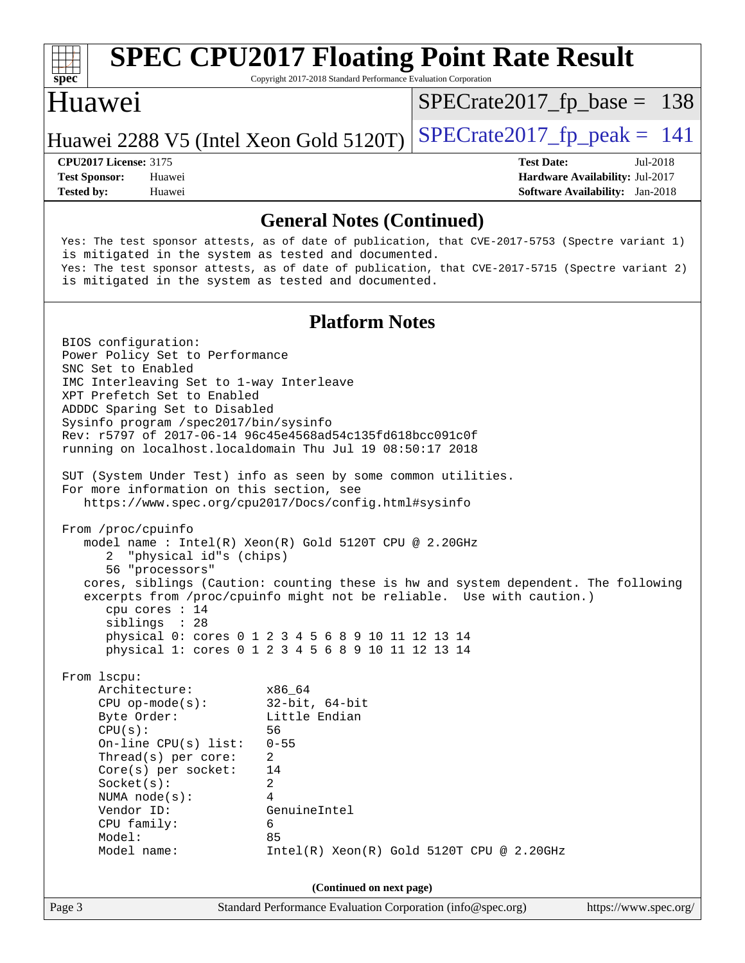

# **[SPEC CPU2017 Floating Point Rate Result](http://www.spec.org/auto/cpu2017/Docs/result-fields.html#SPECCPU2017FloatingPointRateResult)**

Copyright 2017-2018 Standard Performance Evaluation Corporation

### Huawei

[SPECrate2017\\_fp\\_base =](http://www.spec.org/auto/cpu2017/Docs/result-fields.html#SPECrate2017fpbase) 138

### Huawei 2288 V5 (Intel Xeon Gold 5120T)  $SPEC \text{rate} 2017 \text{ f}p\text{ peak} = 141$

**[Tested by:](http://www.spec.org/auto/cpu2017/Docs/result-fields.html#Testedby)** Huawei **[Software Availability:](http://www.spec.org/auto/cpu2017/Docs/result-fields.html#SoftwareAvailability)** Jan-2018

**[CPU2017 License:](http://www.spec.org/auto/cpu2017/Docs/result-fields.html#CPU2017License)** 3175 **[Test Date:](http://www.spec.org/auto/cpu2017/Docs/result-fields.html#TestDate)** Jul-2018 **[Test Sponsor:](http://www.spec.org/auto/cpu2017/Docs/result-fields.html#TestSponsor)** Huawei **[Hardware Availability:](http://www.spec.org/auto/cpu2017/Docs/result-fields.html#HardwareAvailability)** Jul-2017

**[General Notes \(Continued\)](http://www.spec.org/auto/cpu2017/Docs/result-fields.html#GeneralNotes)** Yes: The test sponsor attests, as of date of publication, that CVE-2017-5753 (Spectre variant 1) is mitigated in the system as tested and documented. Yes: The test sponsor attests, as of date of publication, that CVE-2017-5715 (Spectre variant 2) is mitigated in the system as tested and documented. **[Platform Notes](http://www.spec.org/auto/cpu2017/Docs/result-fields.html#PlatformNotes)** BIOS configuration: Power Policy Set to Performance SNC Set to Enabled IMC Interleaving Set to 1-way Interleave XPT Prefetch Set to Enabled ADDDC Sparing Set to Disabled Sysinfo program /spec2017/bin/sysinfo Rev: r5797 of 2017-06-14 96c45e4568ad54c135fd618bcc091c0f running on localhost.localdomain Thu Jul 19 08:50:17 2018 SUT (System Under Test) info as seen by some common utilities. For more information on this section, see <https://www.spec.org/cpu2017/Docs/config.html#sysinfo> From /proc/cpuinfo model name : Intel(R) Xeon(R) Gold 5120T CPU @ 2.20GHz 2 "physical id"s (chips) 56 "processors" cores, siblings (Caution: counting these is hw and system dependent. The following excerpts from /proc/cpuinfo might not be reliable. Use with caution.) cpu cores : 14 siblings : 28 physical 0: cores 0 1 2 3 4 5 6 8 9 10 11 12 13 14 physical 1: cores 0 1 2 3 4 5 6 8 9 10 11 12 13 14 From lscpu: Architecture: x86\_64 CPU op-mode(s): 32-bit, 64-bit Byte Order: Little Endian CPU(s): 56 On-line CPU(s) list: 0-55 Thread(s) per core: 2 Core(s) per socket: 14 Socket(s): 2 NUMA node(s): 4 Vendor ID: GenuineIntel CPU family: 6

Model name: Intel(R) Xeon(R) Gold 5120T CPU @ 2.20GHz

Model: 85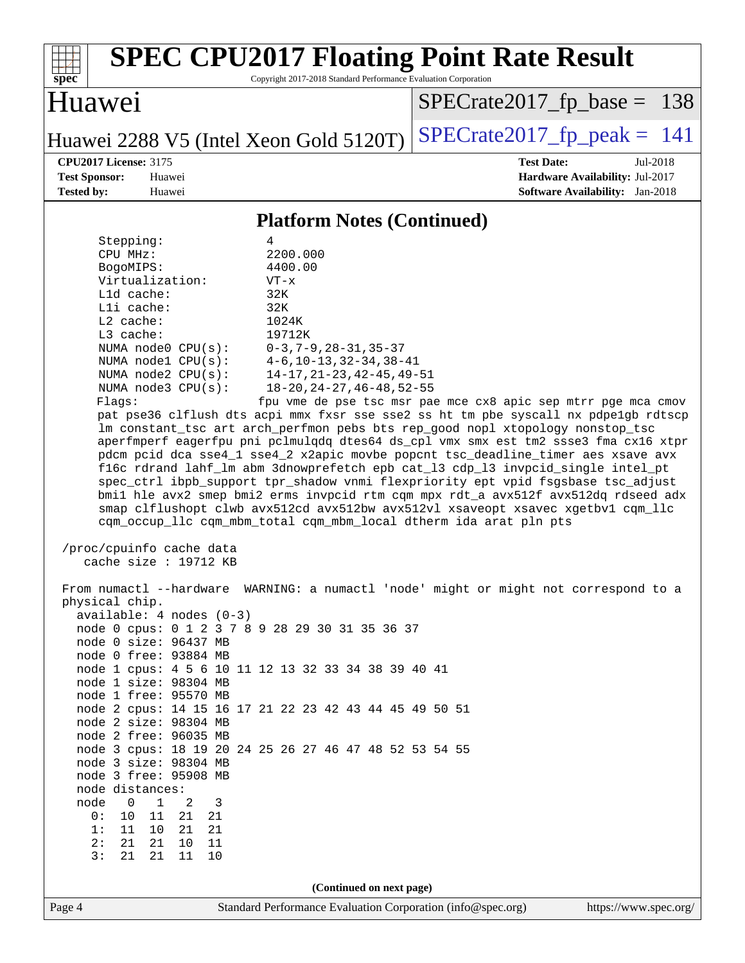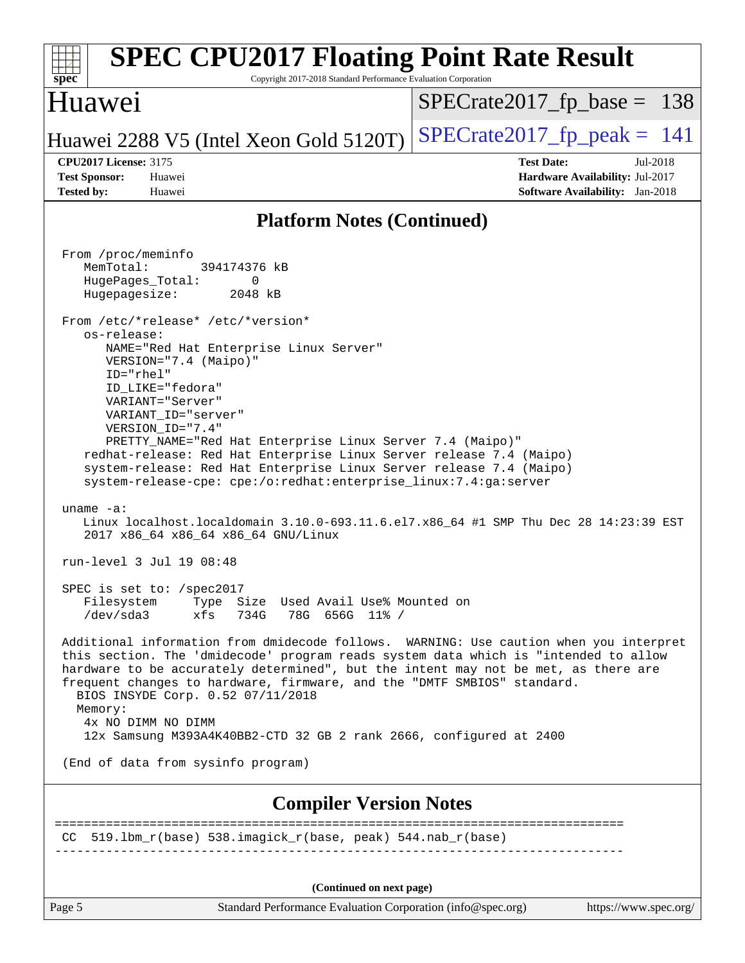| <b>SPEC CPU2017 Floating Point Rate Result</b><br>Spec<br>Copyright 2017-2018 Standard Performance Evaluation Corporation                                                                                                                                                                                                                                                                                                                                                                                                                                                                                                                                                                                                                                                                                                                                                                                                                                                                                                                                                                                                                                                                                                                                                                                                                                                                                                                                                         |                                 |
|-----------------------------------------------------------------------------------------------------------------------------------------------------------------------------------------------------------------------------------------------------------------------------------------------------------------------------------------------------------------------------------------------------------------------------------------------------------------------------------------------------------------------------------------------------------------------------------------------------------------------------------------------------------------------------------------------------------------------------------------------------------------------------------------------------------------------------------------------------------------------------------------------------------------------------------------------------------------------------------------------------------------------------------------------------------------------------------------------------------------------------------------------------------------------------------------------------------------------------------------------------------------------------------------------------------------------------------------------------------------------------------------------------------------------------------------------------------------------------------|---------------------------------|
| Huawei                                                                                                                                                                                                                                                                                                                                                                                                                                                                                                                                                                                                                                                                                                                                                                                                                                                                                                                                                                                                                                                                                                                                                                                                                                                                                                                                                                                                                                                                            | $SPECrate2017_fp\_base = 138$   |
| Huawei 2288 V5 (Intel Xeon Gold 5120T)                                                                                                                                                                                                                                                                                                                                                                                                                                                                                                                                                                                                                                                                                                                                                                                                                                                                                                                                                                                                                                                                                                                                                                                                                                                                                                                                                                                                                                            | $SPECrate2017_fp\_peak = 141$   |
| <b>CPU2017 License: 3175</b>                                                                                                                                                                                                                                                                                                                                                                                                                                                                                                                                                                                                                                                                                                                                                                                                                                                                                                                                                                                                                                                                                                                                                                                                                                                                                                                                                                                                                                                      | <b>Test Date:</b><br>Jul-2018   |
| <b>Test Sponsor:</b><br>Huawei                                                                                                                                                                                                                                                                                                                                                                                                                                                                                                                                                                                                                                                                                                                                                                                                                                                                                                                                                                                                                                                                                                                                                                                                                                                                                                                                                                                                                                                    | Hardware Availability: Jul-2017 |
| <b>Tested by:</b><br>Huawei                                                                                                                                                                                                                                                                                                                                                                                                                                                                                                                                                                                                                                                                                                                                                                                                                                                                                                                                                                                                                                                                                                                                                                                                                                                                                                                                                                                                                                                       | Software Availability: Jan-2018 |
| <b>Platform Notes (Continued)</b>                                                                                                                                                                                                                                                                                                                                                                                                                                                                                                                                                                                                                                                                                                                                                                                                                                                                                                                                                                                                                                                                                                                                                                                                                                                                                                                                                                                                                                                 |                                 |
| From /proc/meminfo<br>MemTotal:<br>394174376 kB<br>HugePages_Total:<br>0<br>Hugepagesize:<br>2048 kB<br>From /etc/*release* /etc/*version*<br>os-release:<br>NAME="Red Hat Enterprise Linux Server"<br>VERSION="7.4 (Maipo)"<br>ID="rhel"<br>ID_LIKE="fedora"<br>VARIANT="Server"<br>VARIANT_ID="server"<br>VERSION_ID="7.4"<br>PRETTY_NAME="Red Hat Enterprise Linux Server 7.4 (Maipo)"<br>redhat-release: Red Hat Enterprise Linux Server release 7.4 (Maipo)<br>system-release: Red Hat Enterprise Linux Server release 7.4 (Maipo)<br>system-release-cpe: cpe:/o:redhat:enterprise_linux:7.4:ga:server<br>uname $-a$ :<br>Linux localhost.localdomain 3.10.0-693.11.6.el7.x86_64 #1 SMP Thu Dec 28 14:23:39 EST<br>2017 x86_64 x86_64 x86_64 GNU/Linux<br>run-level 3 Jul 19 08:48<br>SPEC is set to: /spec2017<br>Filesystem Type Size Used Avail Use% Mounted on<br>/dev/sda3 xfs 734G 78G 656G 11% /<br>Additional information from dmidecode follows. WARNING: Use caution when you interpret<br>this section. The 'dmidecode' program reads system data which is "intended to allow<br>hardware to be accurately determined", but the intent may not be met, as there are<br>frequent changes to hardware, firmware, and the "DMTF SMBIOS" standard.<br>BIOS INSYDE Corp. 0.52 07/11/2018<br>Memory:<br>4x NO DIMM NO DIMM<br>12x Samsung M393A4K40BB2-CTD 32 GB 2 rank 2666, configured at 2400<br>(End of data from sysinfo program)<br><b>Compiler Version Notes</b> |                                 |
| CC 519.1bm_r(base) 538.imagick_r(base, peak) 544.nab_r(base)                                                                                                                                                                                                                                                                                                                                                                                                                                                                                                                                                                                                                                                                                                                                                                                                                                                                                                                                                                                                                                                                                                                                                                                                                                                                                                                                                                                                                      |                                 |
| (Continued on next page)                                                                                                                                                                                                                                                                                                                                                                                                                                                                                                                                                                                                                                                                                                                                                                                                                                                                                                                                                                                                                                                                                                                                                                                                                                                                                                                                                                                                                                                          |                                 |
| Page 5<br>Standard Performance Evaluation Corporation (info@spec.org)                                                                                                                                                                                                                                                                                                                                                                                                                                                                                                                                                                                                                                                                                                                                                                                                                                                                                                                                                                                                                                                                                                                                                                                                                                                                                                                                                                                                             | https://www.spec.org/           |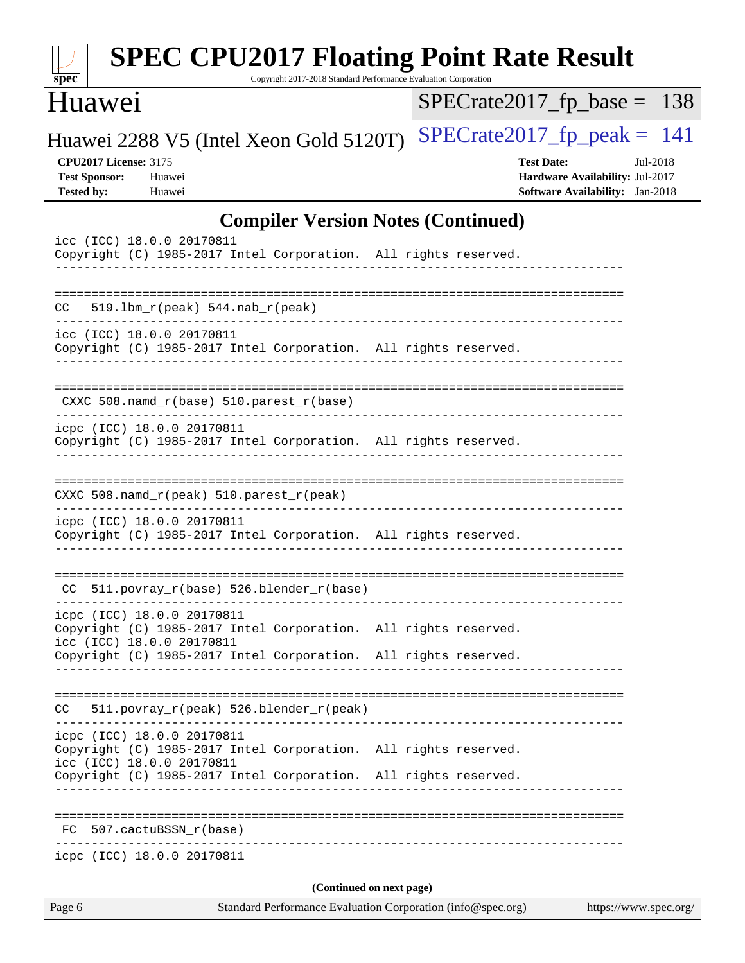| <b>SPEC CPU2017 Floating Point Rate Result</b><br>Copyright 2017-2018 Standard Performance Evaluation Corporation<br>$spec^*$                                                                 |                                                                                                            |
|-----------------------------------------------------------------------------------------------------------------------------------------------------------------------------------------------|------------------------------------------------------------------------------------------------------------|
| Huawei                                                                                                                                                                                        | $SPECrate2017_fp\_base = 138$                                                                              |
| Huawei 2288 V5 (Intel Xeon Gold 5120T)                                                                                                                                                        | $SPECTate2017$ _fp_peak = 141                                                                              |
| <b>CPU2017 License: 3175</b><br><b>Test Sponsor:</b><br>Huawei<br><b>Tested by:</b><br>Huawei                                                                                                 | <b>Test Date:</b><br>Jul-2018<br>Hardware Availability: Jul-2017<br><b>Software Availability:</b> Jan-2018 |
| <b>Compiler Version Notes (Continued)</b>                                                                                                                                                     |                                                                                                            |
| icc (ICC) 18.0.0 20170811<br>Copyright (C) 1985-2017 Intel Corporation. All rights reserved.                                                                                                  |                                                                                                            |
| $519.1bm_r(peak) 544.nab_r(peak)$<br>CC.                                                                                                                                                      |                                                                                                            |
| icc (ICC) 18.0.0 20170811<br>Copyright (C) 1985-2017 Intel Corporation. All rights reserved.                                                                                                  |                                                                                                            |
| CXXC 508.namd_r(base) 510.parest_r(base)                                                                                                                                                      |                                                                                                            |
| icpc (ICC) 18.0.0 20170811<br>Copyright (C) 1985-2017 Intel Corporation. All rights reserved.                                                                                                 |                                                                                                            |
| CXXC 508.namd_r(peak) 510.parest_r(peak)                                                                                                                                                      |                                                                                                            |
| icpc (ICC) 18.0.0 20170811<br>Copyright (C) 1985-2017 Intel Corporation. All rights reserved.                                                                                                 |                                                                                                            |
| CC 511.povray_r(base) 526.blender_r(base)                                                                                                                                                     |                                                                                                            |
| icpc (ICC) 18.0.0 20170811<br>Copyright (C) 1985-2017 Intel Corporation. All rights reserved.<br>icc (ICC) 18.0.0 20170811                                                                    |                                                                                                            |
| Copyright (C) 1985-2017 Intel Corporation. All rights reserved.                                                                                                                               |                                                                                                            |
| 511.povray_r(peak) 526.blender_r(peak)<br>CC                                                                                                                                                  |                                                                                                            |
| icpc (ICC) 18.0.0 20170811<br>Copyright (C) 1985-2017 Intel Corporation. All rights reserved.<br>icc (ICC) 18.0.0 20170811<br>Copyright (C) 1985-2017 Intel Corporation. All rights reserved. |                                                                                                            |
| FC 507.cactuBSSN_r(base)                                                                                                                                                                      |                                                                                                            |
| -------------------<br>icpc (ICC) 18.0.0 20170811                                                                                                                                             |                                                                                                            |
| (Continued on next page)                                                                                                                                                                      |                                                                                                            |
| Standard Performance Evaluation Corporation (info@spec.org)<br>Page 6                                                                                                                         | https://www.spec.org/                                                                                      |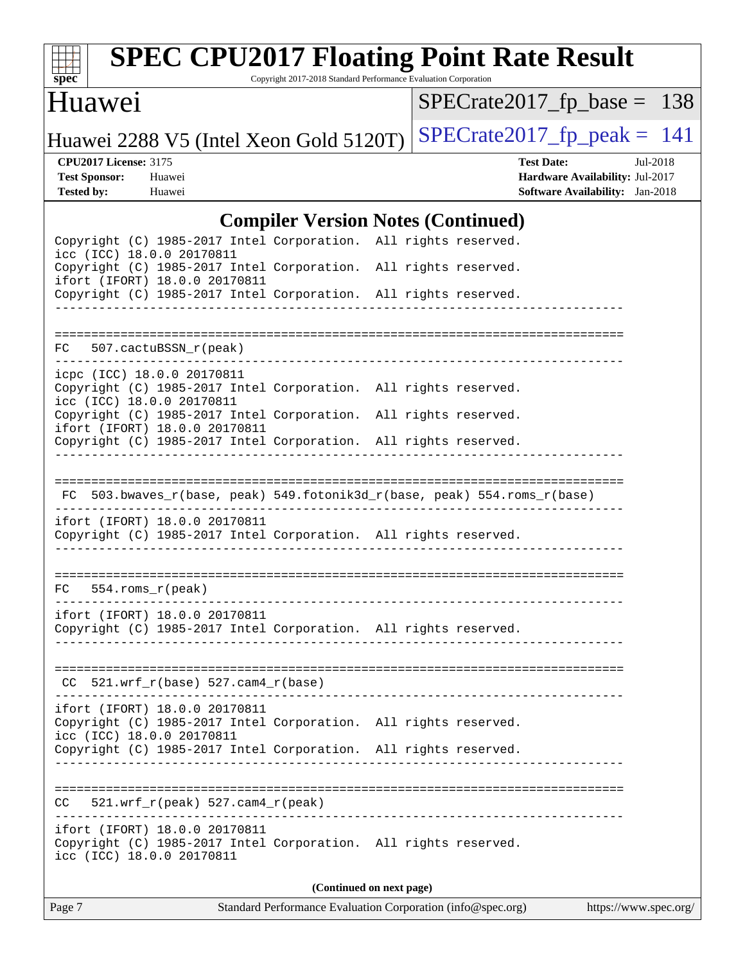

# **[SPEC CPU2017 Floating Point Rate Result](http://www.spec.org/auto/cpu2017/Docs/result-fields.html#SPECCPU2017FloatingPointRateResult)**

Copyright 2017-2018 Standard Performance Evaluation Corporation

### Huawei

[SPECrate2017\\_fp\\_base =](http://www.spec.org/auto/cpu2017/Docs/result-fields.html#SPECrate2017fpbase) 138

Huawei 2288 V5 (Intel Xeon Gold 5120T) SPECrate  $2017$  fp peak = 141

**[CPU2017 License:](http://www.spec.org/auto/cpu2017/Docs/result-fields.html#CPU2017License)** 3175 **[Test Date:](http://www.spec.org/auto/cpu2017/Docs/result-fields.html#TestDate)** Jul-2018 **[Test Sponsor:](http://www.spec.org/auto/cpu2017/Docs/result-fields.html#TestSponsor)** Huawei **[Hardware Availability:](http://www.spec.org/auto/cpu2017/Docs/result-fields.html#HardwareAvailability)** Jul-2017 **[Tested by:](http://www.spec.org/auto/cpu2017/Docs/result-fields.html#Testedby)** Huawei **[Software Availability:](http://www.spec.org/auto/cpu2017/Docs/result-fields.html#SoftwareAvailability)** Jan-2018

#### **[Compiler Version Notes \(Continued\)](http://www.spec.org/auto/cpu2017/Docs/result-fields.html#CompilerVersionNotes)**

|                                                                                                                               | Complier version rotes (Commutation) |                          |  |
|-------------------------------------------------------------------------------------------------------------------------------|--------------------------------------|--------------------------|--|
| Copyright (C) 1985-2017 Intel Corporation. All rights reserved.<br>icc (ICC) 18.0.0 20170811                                  |                                      |                          |  |
| Copyright (C) 1985-2017 Intel Corporation. All rights reserved.<br>ifort (IFORT) 18.0.0 20170811                              |                                      |                          |  |
| Copyright (C) 1985-2017 Intel Corporation. All rights reserved.                                                               |                                      |                          |  |
|                                                                                                                               |                                      |                          |  |
| 507.cactuBSSN r(peak)<br>FC                                                                                                   |                                      |                          |  |
| icpc (ICC) 18.0.0 20170811<br>Copyright (C) 1985-2017 Intel Corporation. All rights reserved.<br>icc (ICC) 18.0.0 20170811    |                                      |                          |  |
| Copyright (C) 1985-2017 Intel Corporation. All rights reserved.<br>ifort (IFORT) 18.0.0 20170811                              |                                      |                          |  |
| Copyright (C) 1985-2017 Intel Corporation. All rights reserved.                                                               |                                      |                          |  |
|                                                                                                                               |                                      |                          |  |
| FC 503.bwaves_r(base, peak) 549.fotonik3d_r(base, peak) 554.roms_r(base)                                                      |                                      |                          |  |
| ifort (IFORT) 18.0.0 20170811<br>Copyright (C) 1985-2017 Intel Corporation. All rights reserved.                              |                                      |                          |  |
| $FC 554.rows_r (peak)$                                                                                                        |                                      |                          |  |
|                                                                                                                               |                                      |                          |  |
| ifort (IFORT) 18.0.0 20170811<br>Copyright (C) 1985-2017 Intel Corporation. All rights reserved.                              |                                      |                          |  |
|                                                                                                                               |                                      |                          |  |
| $CC$ 521.wrf_r(base) 527.cam4_r(base)                                                                                         |                                      |                          |  |
| ifort (IFORT) 18.0.0 20170811<br>Copyright (C) 1985-2017 Intel Corporation. All rights reserved.<br>icc (ICC) 18.0.0 20170811 |                                      |                          |  |
| Copyright (C) 1985-2017 Intel Corporation. All rights reserved.                                                               |                                      |                          |  |
|                                                                                                                               |                                      |                          |  |
| 521.wrf_r(peak) 527.cam4_r(peak)<br>CC                                                                                        |                                      |                          |  |
| ifort (IFORT) 18.0.0 20170811<br>Copyright (C) 1985-2017 Intel Corporation. All rights reserved.<br>icc (ICC) 18.0.0 20170811 |                                      |                          |  |
|                                                                                                                               |                                      | (Continued on next page) |  |
|                                                                                                                               |                                      |                          |  |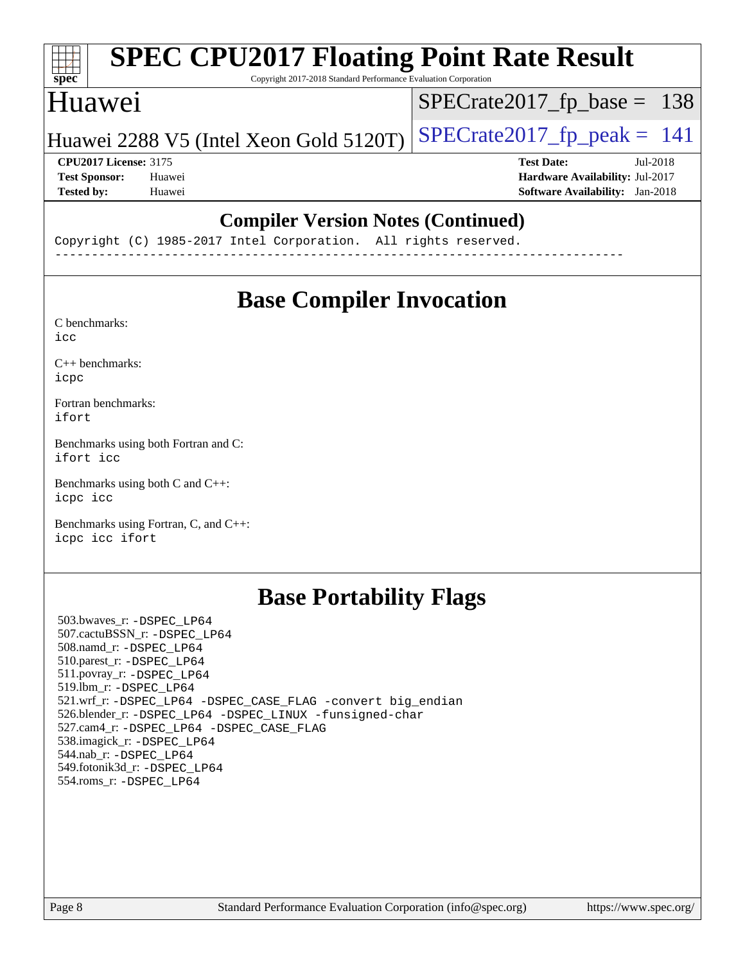| <b>SPEC CPU2017 Floating Point Rate Result</b><br>Copyright 2017-2018 Standard Performance Evaluation Corporation |                                        |
|-------------------------------------------------------------------------------------------------------------------|----------------------------------------|
| Huawei                                                                                                            | $SPECrate2017_fp\_base = 138$          |
| Huawei 2288 V5 (Intel Xeon Gold 5120T)                                                                            | $SPECrate2017_fp\_peak = 141$          |
| <b>CPU2017 License: 3175</b>                                                                                      | <b>Test Date:</b><br>Jul-2018          |
| <b>Test Sponsor:</b><br>Huawei                                                                                    | Hardware Availability: Jul-2017        |
| Huawei                                                                                                            | <b>Software Availability:</b> Jan-2018 |
|                                                                                                                   |                                        |

#### **[Compiler Version Notes \(Continued\)](http://www.spec.org/auto/cpu2017/Docs/result-fields.html#CompilerVersionNotes)**

Copyright (C) 1985-2017 Intel Corporation. All rights reserved. ------------------------------------------------------------------------------

## **[Base Compiler Invocation](http://www.spec.org/auto/cpu2017/Docs/result-fields.html#BaseCompilerInvocation)**

[C benchmarks](http://www.spec.org/auto/cpu2017/Docs/result-fields.html#Cbenchmarks): [icc](http://www.spec.org/cpu2017/results/res2018q4/cpu2017-20181011-09147.flags.html#user_CCbase_intel_icc_18.0_66fc1ee009f7361af1fbd72ca7dcefbb700085f36577c54f309893dd4ec40d12360134090235512931783d35fd58c0460139e722d5067c5574d8eaf2b3e37e92)

[C++ benchmarks:](http://www.spec.org/auto/cpu2017/Docs/result-fields.html#CXXbenchmarks) [icpc](http://www.spec.org/cpu2017/results/res2018q4/cpu2017-20181011-09147.flags.html#user_CXXbase_intel_icpc_18.0_c510b6838c7f56d33e37e94d029a35b4a7bccf4766a728ee175e80a419847e808290a9b78be685c44ab727ea267ec2f070ec5dc83b407c0218cded6866a35d07)

[Fortran benchmarks](http://www.spec.org/auto/cpu2017/Docs/result-fields.html#Fortranbenchmarks): [ifort](http://www.spec.org/cpu2017/results/res2018q4/cpu2017-20181011-09147.flags.html#user_FCbase_intel_ifort_18.0_8111460550e3ca792625aed983ce982f94888b8b503583aa7ba2b8303487b4d8a21a13e7191a45c5fd58ff318f48f9492884d4413fa793fd88dd292cad7027ca)

[Benchmarks using both Fortran and C](http://www.spec.org/auto/cpu2017/Docs/result-fields.html#BenchmarksusingbothFortranandC): [ifort](http://www.spec.org/cpu2017/results/res2018q4/cpu2017-20181011-09147.flags.html#user_CC_FCbase_intel_ifort_18.0_8111460550e3ca792625aed983ce982f94888b8b503583aa7ba2b8303487b4d8a21a13e7191a45c5fd58ff318f48f9492884d4413fa793fd88dd292cad7027ca) [icc](http://www.spec.org/cpu2017/results/res2018q4/cpu2017-20181011-09147.flags.html#user_CC_FCbase_intel_icc_18.0_66fc1ee009f7361af1fbd72ca7dcefbb700085f36577c54f309893dd4ec40d12360134090235512931783d35fd58c0460139e722d5067c5574d8eaf2b3e37e92)

[Benchmarks using both C and C++](http://www.spec.org/auto/cpu2017/Docs/result-fields.html#BenchmarksusingbothCandCXX): [icpc](http://www.spec.org/cpu2017/results/res2018q4/cpu2017-20181011-09147.flags.html#user_CC_CXXbase_intel_icpc_18.0_c510b6838c7f56d33e37e94d029a35b4a7bccf4766a728ee175e80a419847e808290a9b78be685c44ab727ea267ec2f070ec5dc83b407c0218cded6866a35d07) [icc](http://www.spec.org/cpu2017/results/res2018q4/cpu2017-20181011-09147.flags.html#user_CC_CXXbase_intel_icc_18.0_66fc1ee009f7361af1fbd72ca7dcefbb700085f36577c54f309893dd4ec40d12360134090235512931783d35fd58c0460139e722d5067c5574d8eaf2b3e37e92)

[Benchmarks using Fortran, C, and C++:](http://www.spec.org/auto/cpu2017/Docs/result-fields.html#BenchmarksusingFortranCandCXX) [icpc](http://www.spec.org/cpu2017/results/res2018q4/cpu2017-20181011-09147.flags.html#user_CC_CXX_FCbase_intel_icpc_18.0_c510b6838c7f56d33e37e94d029a35b4a7bccf4766a728ee175e80a419847e808290a9b78be685c44ab727ea267ec2f070ec5dc83b407c0218cded6866a35d07) [icc](http://www.spec.org/cpu2017/results/res2018q4/cpu2017-20181011-09147.flags.html#user_CC_CXX_FCbase_intel_icc_18.0_66fc1ee009f7361af1fbd72ca7dcefbb700085f36577c54f309893dd4ec40d12360134090235512931783d35fd58c0460139e722d5067c5574d8eaf2b3e37e92) [ifort](http://www.spec.org/cpu2017/results/res2018q4/cpu2017-20181011-09147.flags.html#user_CC_CXX_FCbase_intel_ifort_18.0_8111460550e3ca792625aed983ce982f94888b8b503583aa7ba2b8303487b4d8a21a13e7191a45c5fd58ff318f48f9492884d4413fa793fd88dd292cad7027ca)

## **[Base Portability Flags](http://www.spec.org/auto/cpu2017/Docs/result-fields.html#BasePortabilityFlags)**

 503.bwaves\_r: [-DSPEC\\_LP64](http://www.spec.org/cpu2017/results/res2018q4/cpu2017-20181011-09147.flags.html#suite_basePORTABILITY503_bwaves_r_DSPEC_LP64) 507.cactuBSSN\_r: [-DSPEC\\_LP64](http://www.spec.org/cpu2017/results/res2018q4/cpu2017-20181011-09147.flags.html#suite_basePORTABILITY507_cactuBSSN_r_DSPEC_LP64) 508.namd\_r: [-DSPEC\\_LP64](http://www.spec.org/cpu2017/results/res2018q4/cpu2017-20181011-09147.flags.html#suite_basePORTABILITY508_namd_r_DSPEC_LP64) 510.parest\_r: [-DSPEC\\_LP64](http://www.spec.org/cpu2017/results/res2018q4/cpu2017-20181011-09147.flags.html#suite_basePORTABILITY510_parest_r_DSPEC_LP64) 511.povray\_r: [-DSPEC\\_LP64](http://www.spec.org/cpu2017/results/res2018q4/cpu2017-20181011-09147.flags.html#suite_basePORTABILITY511_povray_r_DSPEC_LP64) 519.lbm\_r: [-DSPEC\\_LP64](http://www.spec.org/cpu2017/results/res2018q4/cpu2017-20181011-09147.flags.html#suite_basePORTABILITY519_lbm_r_DSPEC_LP64) 521.wrf\_r: [-DSPEC\\_LP64](http://www.spec.org/cpu2017/results/res2018q4/cpu2017-20181011-09147.flags.html#suite_basePORTABILITY521_wrf_r_DSPEC_LP64) [-DSPEC\\_CASE\\_FLAG](http://www.spec.org/cpu2017/results/res2018q4/cpu2017-20181011-09147.flags.html#b521.wrf_r_baseCPORTABILITY_DSPEC_CASE_FLAG) [-convert big\\_endian](http://www.spec.org/cpu2017/results/res2018q4/cpu2017-20181011-09147.flags.html#user_baseFPORTABILITY521_wrf_r_convert_big_endian_c3194028bc08c63ac5d04de18c48ce6d347e4e562e8892b8bdbdc0214820426deb8554edfa529a3fb25a586e65a3d812c835984020483e7e73212c4d31a38223) 526.blender\_r: [-DSPEC\\_LP64](http://www.spec.org/cpu2017/results/res2018q4/cpu2017-20181011-09147.flags.html#suite_basePORTABILITY526_blender_r_DSPEC_LP64) [-DSPEC\\_LINUX](http://www.spec.org/cpu2017/results/res2018q4/cpu2017-20181011-09147.flags.html#b526.blender_r_baseCPORTABILITY_DSPEC_LINUX) [-funsigned-char](http://www.spec.org/cpu2017/results/res2018q4/cpu2017-20181011-09147.flags.html#user_baseCPORTABILITY526_blender_r_force_uchar_40c60f00ab013830e2dd6774aeded3ff59883ba5a1fc5fc14077f794d777847726e2a5858cbc7672e36e1b067e7e5c1d9a74f7176df07886a243d7cc18edfe67) 527.cam4\_r: [-DSPEC\\_LP64](http://www.spec.org/cpu2017/results/res2018q4/cpu2017-20181011-09147.flags.html#suite_basePORTABILITY527_cam4_r_DSPEC_LP64) [-DSPEC\\_CASE\\_FLAG](http://www.spec.org/cpu2017/results/res2018q4/cpu2017-20181011-09147.flags.html#b527.cam4_r_baseCPORTABILITY_DSPEC_CASE_FLAG) 538.imagick\_r: [-DSPEC\\_LP64](http://www.spec.org/cpu2017/results/res2018q4/cpu2017-20181011-09147.flags.html#suite_basePORTABILITY538_imagick_r_DSPEC_LP64) 544.nab\_r: [-DSPEC\\_LP64](http://www.spec.org/cpu2017/results/res2018q4/cpu2017-20181011-09147.flags.html#suite_basePORTABILITY544_nab_r_DSPEC_LP64) 549.fotonik3d\_r: [-DSPEC\\_LP64](http://www.spec.org/cpu2017/results/res2018q4/cpu2017-20181011-09147.flags.html#suite_basePORTABILITY549_fotonik3d_r_DSPEC_LP64) 554.roms\_r: [-DSPEC\\_LP64](http://www.spec.org/cpu2017/results/res2018q4/cpu2017-20181011-09147.flags.html#suite_basePORTABILITY554_roms_r_DSPEC_LP64)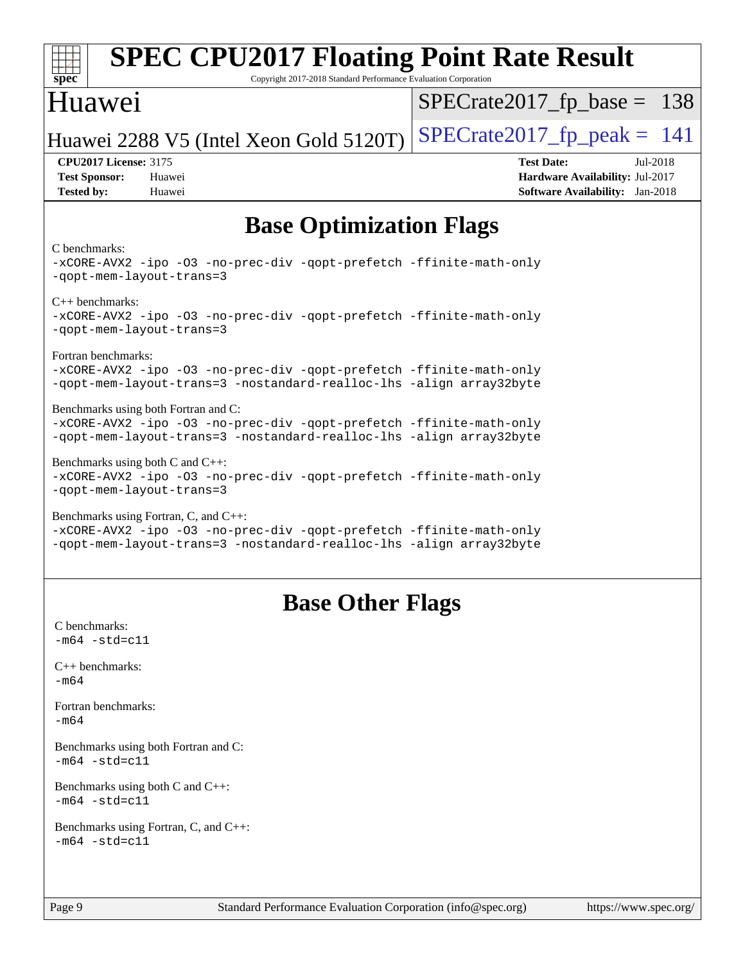| <b>SPEC CPU2017 Floating Point Rate Result</b><br>$spec*$<br>Copyright 2017-2018 Standard Performance Evaluation Corporation               |                                        |
|--------------------------------------------------------------------------------------------------------------------------------------------|----------------------------------------|
| Huawei                                                                                                                                     | $SPECrate2017_fp\_base = 138$          |
| Huawei 2288 V5 (Intel Xeon Gold 5120T)                                                                                                     | $SPECrate2017_fp\_peak = 141$          |
| <b>CPU2017 License: 3175</b>                                                                                                               | <b>Test Date:</b><br>Jul-2018          |
| <b>Test Sponsor:</b><br>Huawei                                                                                                             | Hardware Availability: Jul-2017        |
| <b>Tested by:</b><br>Huawei                                                                                                                | <b>Software Availability:</b> Jan-2018 |
| <b>Base Optimization Flags</b>                                                                                                             |                                        |
|                                                                                                                                            |                                        |
| C benchmarks:<br>-xCORE-AVX2 -ipo -03 -no-prec-div -qopt-prefetch -ffinite-math-only<br>-qopt-mem-layout-trans=3                           |                                        |
| $C_{++}$ benchmarks:                                                                                                                       |                                        |
| -xCORE-AVX2 -ipo -03 -no-prec-div -qopt-prefetch -ffinite-math-only<br>-gopt-mem-layout-trans=3                                            |                                        |
| Fortran benchmarks:                                                                                                                        |                                        |
| -xCORE-AVX2 -ipo -03 -no-prec-div -qopt-prefetch -ffinite-math-only<br>-qopt-mem-layout-trans=3 -nostandard-realloc-lhs -align array32byte |                                        |
| Benchmarks using both Fortran and C:                                                                                                       |                                        |
| -xCORE-AVX2 -ipo -03 -no-prec-div -qopt-prefetch -ffinite-math-only<br>-qopt-mem-layout-trans=3 -nostandard-realloc-lhs -align array32byte |                                        |
|                                                                                                                                            |                                        |
| Benchmarks using both $C$ and $C++$ :<br>-xCORE-AVX2 -ipo -03 -no-prec-div -qopt-prefetch -ffinite-math-only<br>-qopt-mem-layout-trans=3   |                                        |
| Benchmarks using Fortran, C, and C++:                                                                                                      |                                        |
| -xCORE-AVX2 -ipo -03 -no-prec-div -qopt-prefetch -ffinite-math-only<br>-qopt-mem-layout-trans=3 -nostandard-realloc-lhs -align array32byte |                                        |
| <b>Base Other Flags</b><br>C benchmarks:                                                                                                   |                                        |
| $-m64 - std= c11$                                                                                                                          |                                        |
| $C++$ benchmarks:<br>$-m64$                                                                                                                |                                        |
| Fortran benchmarks:<br>$-m64$                                                                                                              |                                        |
| Benchmarks using both Fortran and C:<br>$-m64 - std= c11$                                                                                  |                                        |
| Benchmarks using both C and C++:<br>$-m64 - std= c11$                                                                                      |                                        |
| Benchmarks using Fortran, C, and C++:<br>$-m64 - std= c11$                                                                                 |                                        |
| Page 9<br>Standard Performance Evaluation Corporation (info@spec.org)                                                                      | https://www.spec.org/                  |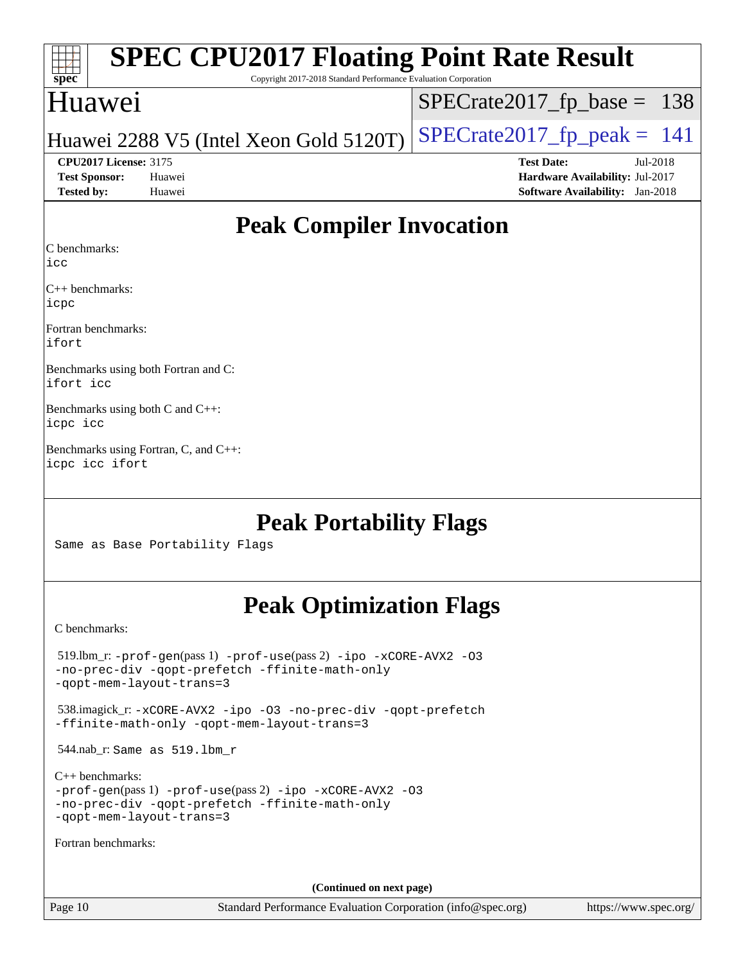| spec              |                              | <b>SPEC CPU2017 Floating Point Rate Result</b><br>Copyright 2017-2018 Standard Performance Evaluation Corporation |                                        |            |
|-------------------|------------------------------|-------------------------------------------------------------------------------------------------------------------|----------------------------------------|------------|
|                   | Huawei                       |                                                                                                                   | $SPECrate2017_fp\_base = 138$          |            |
|                   |                              | Huawei 2288 V5 (Intel Xeon Gold 5120T)                                                                            | $SPECrate2017_fp\_peak = 141$          |            |
|                   | <b>CPU2017 License: 3175</b> |                                                                                                                   | <b>Test Date:</b>                      | $Jul-2018$ |
|                   | <b>Test Sponsor:</b>         | Huawei                                                                                                            | Hardware Availability: Jul-2017        |            |
| <b>Tested by:</b> |                              | Huawei                                                                                                            | <b>Software Availability:</b> Jan-2018 |            |
|                   |                              |                                                                                                                   |                                        |            |

## **[Peak Compiler Invocation](http://www.spec.org/auto/cpu2017/Docs/result-fields.html#PeakCompilerInvocation)**

[C benchmarks](http://www.spec.org/auto/cpu2017/Docs/result-fields.html#Cbenchmarks):

[icc](http://www.spec.org/cpu2017/results/res2018q4/cpu2017-20181011-09147.flags.html#user_CCpeak_intel_icc_18.0_66fc1ee009f7361af1fbd72ca7dcefbb700085f36577c54f309893dd4ec40d12360134090235512931783d35fd58c0460139e722d5067c5574d8eaf2b3e37e92)

[C++ benchmarks:](http://www.spec.org/auto/cpu2017/Docs/result-fields.html#CXXbenchmarks) [icpc](http://www.spec.org/cpu2017/results/res2018q4/cpu2017-20181011-09147.flags.html#user_CXXpeak_intel_icpc_18.0_c510b6838c7f56d33e37e94d029a35b4a7bccf4766a728ee175e80a419847e808290a9b78be685c44ab727ea267ec2f070ec5dc83b407c0218cded6866a35d07)

[Fortran benchmarks](http://www.spec.org/auto/cpu2017/Docs/result-fields.html#Fortranbenchmarks): [ifort](http://www.spec.org/cpu2017/results/res2018q4/cpu2017-20181011-09147.flags.html#user_FCpeak_intel_ifort_18.0_8111460550e3ca792625aed983ce982f94888b8b503583aa7ba2b8303487b4d8a21a13e7191a45c5fd58ff318f48f9492884d4413fa793fd88dd292cad7027ca)

[Benchmarks using both Fortran and C](http://www.spec.org/auto/cpu2017/Docs/result-fields.html#BenchmarksusingbothFortranandC): [ifort](http://www.spec.org/cpu2017/results/res2018q4/cpu2017-20181011-09147.flags.html#user_CC_FCpeak_intel_ifort_18.0_8111460550e3ca792625aed983ce982f94888b8b503583aa7ba2b8303487b4d8a21a13e7191a45c5fd58ff318f48f9492884d4413fa793fd88dd292cad7027ca) [icc](http://www.spec.org/cpu2017/results/res2018q4/cpu2017-20181011-09147.flags.html#user_CC_FCpeak_intel_icc_18.0_66fc1ee009f7361af1fbd72ca7dcefbb700085f36577c54f309893dd4ec40d12360134090235512931783d35fd58c0460139e722d5067c5574d8eaf2b3e37e92)

[Benchmarks using both C and C++:](http://www.spec.org/auto/cpu2017/Docs/result-fields.html#BenchmarksusingbothCandCXX) [icpc](http://www.spec.org/cpu2017/results/res2018q4/cpu2017-20181011-09147.flags.html#user_CC_CXXpeak_intel_icpc_18.0_c510b6838c7f56d33e37e94d029a35b4a7bccf4766a728ee175e80a419847e808290a9b78be685c44ab727ea267ec2f070ec5dc83b407c0218cded6866a35d07) [icc](http://www.spec.org/cpu2017/results/res2018q4/cpu2017-20181011-09147.flags.html#user_CC_CXXpeak_intel_icc_18.0_66fc1ee009f7361af1fbd72ca7dcefbb700085f36577c54f309893dd4ec40d12360134090235512931783d35fd58c0460139e722d5067c5574d8eaf2b3e37e92)

[Benchmarks using Fortran, C, and C++](http://www.spec.org/auto/cpu2017/Docs/result-fields.html#BenchmarksusingFortranCandCXX): [icpc](http://www.spec.org/cpu2017/results/res2018q4/cpu2017-20181011-09147.flags.html#user_CC_CXX_FCpeak_intel_icpc_18.0_c510b6838c7f56d33e37e94d029a35b4a7bccf4766a728ee175e80a419847e808290a9b78be685c44ab727ea267ec2f070ec5dc83b407c0218cded6866a35d07) [icc](http://www.spec.org/cpu2017/results/res2018q4/cpu2017-20181011-09147.flags.html#user_CC_CXX_FCpeak_intel_icc_18.0_66fc1ee009f7361af1fbd72ca7dcefbb700085f36577c54f309893dd4ec40d12360134090235512931783d35fd58c0460139e722d5067c5574d8eaf2b3e37e92) [ifort](http://www.spec.org/cpu2017/results/res2018q4/cpu2017-20181011-09147.flags.html#user_CC_CXX_FCpeak_intel_ifort_18.0_8111460550e3ca792625aed983ce982f94888b8b503583aa7ba2b8303487b4d8a21a13e7191a45c5fd58ff318f48f9492884d4413fa793fd88dd292cad7027ca)

## **[Peak Portability Flags](http://www.spec.org/auto/cpu2017/Docs/result-fields.html#PeakPortabilityFlags)**

Same as Base Portability Flags

## **[Peak Optimization Flags](http://www.spec.org/auto/cpu2017/Docs/result-fields.html#PeakOptimizationFlags)**

[C benchmarks](http://www.spec.org/auto/cpu2017/Docs/result-fields.html#Cbenchmarks):

| $519.$ lbm_r: -prof-qen(pass 1) -prof-use(pass 2) -ipo -xCORE-AVX2 -03<br>-no-prec-div -gopt-prefetch -ffinite-math-only<br>-gopt-mem-layout-trans=3             |
|------------------------------------------------------------------------------------------------------------------------------------------------------------------|
| 538.imagick_r: -xCORE-AVX2 -ipo -03 -no-prec-div -qopt-prefetch<br>-ffinite-math-only -gopt-mem-layout-trans=3                                                   |
| 544.nab_r: Same as 519.1bm_r                                                                                                                                     |
| $C_{++}$ benchmarks:<br>$-prof-qen(pass 1) -prof-use(pass 2) -ipo -xCORE-AVX2 -O3$<br>-no-prec-div -gopt-prefetch -ffinite-math-only<br>-gopt-mem-layout-trans=3 |
| Fortran benchmarks:                                                                                                                                              |
|                                                                                                                                                                  |
| (Continued on next page)                                                                                                                                         |

Page 10 Standard Performance Evaluation Corporation [\(info@spec.org\)](mailto:info@spec.org) <https://www.spec.org/>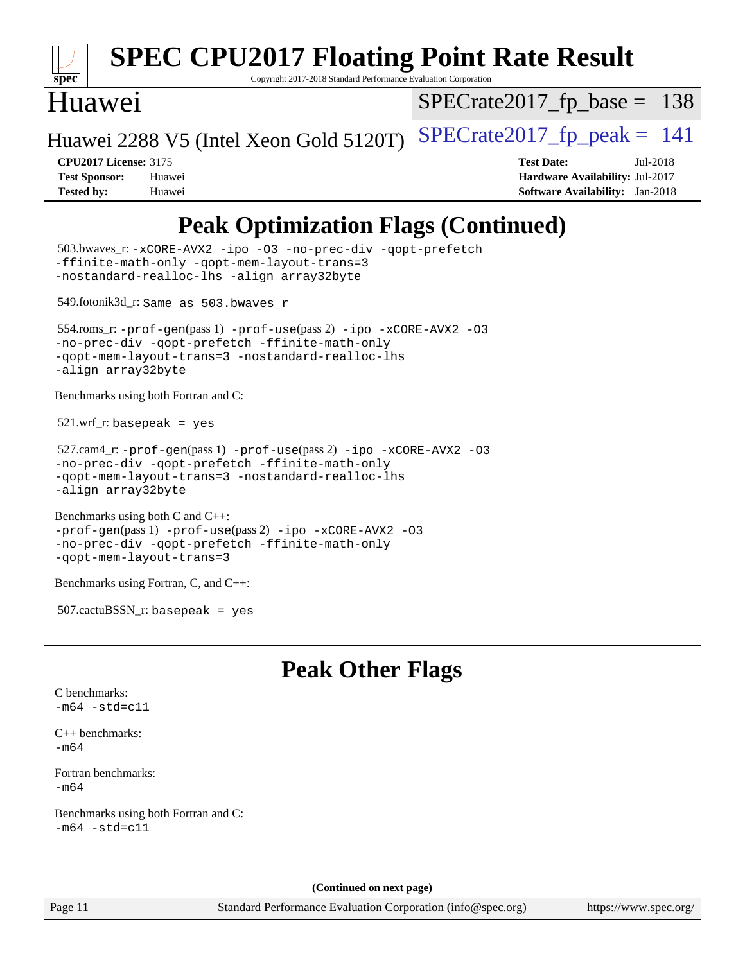

# **[SPEC CPU2017 Floating Point Rate Result](http://www.spec.org/auto/cpu2017/Docs/result-fields.html#SPECCPU2017FloatingPointRateResult)**

Copyright 2017-2018 Standard Performance Evaluation Corporation

## Huawei

[SPECrate2017\\_fp\\_base =](http://www.spec.org/auto/cpu2017/Docs/result-fields.html#SPECrate2017fpbase) 138

Huawei 2288 V5 (Intel Xeon Gold 5120T) SPECrate  $2017$  fp peak = 141

**[CPU2017 License:](http://www.spec.org/auto/cpu2017/Docs/result-fields.html#CPU2017License)** 3175 **[Test Date:](http://www.spec.org/auto/cpu2017/Docs/result-fields.html#TestDate)** Jul-2018 **[Test Sponsor:](http://www.spec.org/auto/cpu2017/Docs/result-fields.html#TestSponsor)** Huawei **[Hardware Availability:](http://www.spec.org/auto/cpu2017/Docs/result-fields.html#HardwareAvailability)** Jul-2017 **[Tested by:](http://www.spec.org/auto/cpu2017/Docs/result-fields.html#Testedby)** Huawei **[Software Availability:](http://www.spec.org/auto/cpu2017/Docs/result-fields.html#SoftwareAvailability)** Jan-2018

## **[Peak Optimization Flags \(Continued\)](http://www.spec.org/auto/cpu2017/Docs/result-fields.html#PeakOptimizationFlags)**

| 503.bwaves_r: -xCORE-AVX2 -ipo -03 -no-prec-div -qopt-prefetch<br>-ffinite-math-only -qopt-mem-layout-trans=3<br>-nostandard-realloc-lhs -align array32byte                                         |
|-----------------------------------------------------------------------------------------------------------------------------------------------------------------------------------------------------|
| 549.fotonik3d_r: Same as 503.bwaves_r                                                                                                                                                               |
| $554.$ roms_r: -prof-gen(pass 1) -prof-use(pass 2) -ipo -xCORE-AVX2 -03<br>-no-prec-div -qopt-prefetch -ffinite-math-only<br>-qopt-mem-layout-trans=3 -nostandard-realloc-lhs<br>-align array32byte |
| Benchmarks using both Fortran and C:                                                                                                                                                                |
| $521.wrf_r$ : basepeak = yes                                                                                                                                                                        |
| $527.cam4_r: -prot-gen(pass1) -prof-use(pass2) -ipo -xCORE-AVX2 -03$<br>-no-prec-div -qopt-prefetch -ffinite-math-only<br>-qopt-mem-layout-trans=3 -nostandard-realloc-lhs<br>-align array32byte    |
| Benchmarks using both C and C++:<br>-prof-gen(pass 1) -prof-use(pass 2) -ipo -xCORE-AVX2 -03<br>-no-prec-div -qopt-prefetch -ffinite-math-only<br>-qopt-mem-layout-trans=3                          |
| Benchmarks using Fortran, C, and C++:                                                                                                                                                               |
| $507.cactuBSSN_r$ : basepeak = yes                                                                                                                                                                  |
| <b>Peak Other Flags</b>                                                                                                                                                                             |
| C benchmarks:<br>$-m64 - std= c11$                                                                                                                                                                  |
| $C_{++}$ benchmarks:<br>$-m64$                                                                                                                                                                      |
| Fortran benchmarks:<br>$-m64$                                                                                                                                                                       |
| Benchmarks using both Fortran and C:<br>$-m64 - std= c11$                                                                                                                                           |
|                                                                                                                                                                                                     |

**(Continued on next page)**

Page 11 Standard Performance Evaluation Corporation [\(info@spec.org\)](mailto:info@spec.org) <https://www.spec.org/>